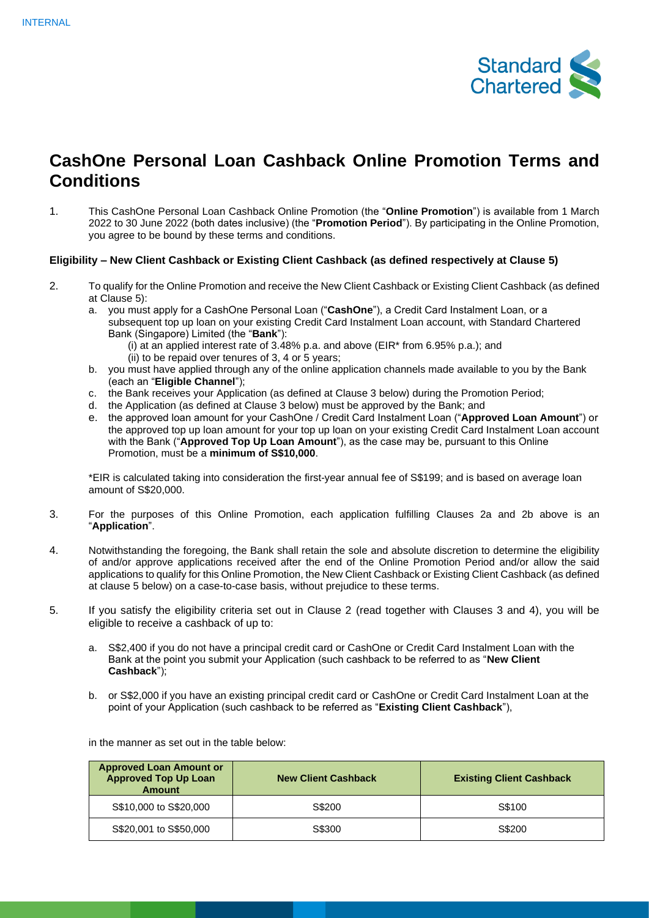

## **CashOne Personal Loan Cashback Online Promotion Terms and Conditions**

1. This CashOne Personal Loan Cashback Online Promotion (the "**Online Promotion**") is available from 1 March 2022 to 30 June 2022 (both dates inclusive) (the "**Promotion Period**"). By participating in the Online Promotion, you agree to be bound by these terms and conditions.

## **Eligibility – New Client Cashback or Existing Client Cashback (as defined respectively at Clause 5)**

- 2. To qualify for the Online Promotion and receive the New Client Cashback or Existing Client Cashback (as defined at Clause 5):
	- a. you must apply for a CashOne Personal Loan ("**CashOne**"), a Credit Card Instalment Loan, or a subsequent top up loan on your existing Credit Card Instalment Loan account, with Standard Chartered Bank (Singapore) Limited (the "**Bank**"):
		- (i) at an applied interest rate of  $3.48\%$  p.a. and above (EIR\* from 6.95% p.a.); and (ii) to be repaid over tenures of 3, 4 or 5 years;
	- b. you must have applied through any of the online application channels made available to you by the Bank (each an "**Eligible Channel**");
	- c. the Bank receives your Application (as defined at Clause 3 below) during the Promotion Period;
	- d. the Application (as defined at Clause 3 below) must be approved by the Bank; and
	- e. the approved loan amount for your CashOne / Credit Card Instalment Loan ("**Approved Loan Amount**") or the approved top up loan amount for your top up loan on your existing Credit Card Instalment Loan account with the Bank ("**Approved Top Up Loan Amount**"), as the case may be, pursuant to this Online Promotion, must be a **minimum of S\$10,000**.

\*EIR is calculated taking into consideration the first-year annual fee of S\$199; and is based on average loan amount of S\$20,000.

- 3. For the purposes of this Online Promotion, each application fulfilling Clauses 2a and 2b above is an "**Application**".
- 4. Notwithstanding the foregoing, the Bank shall retain the sole and absolute discretion to determine the eligibility of and/or approve applications received after the end of the Online Promotion Period and/or allow the said applications to qualify for this Online Promotion, the New Client Cashback or Existing Client Cashback (as defined at clause 5 below) on a case-to-case basis, without prejudice to these terms.
- 5. If you satisfy the eligibility criteria set out in Clause 2 (read together with Clauses 3 and 4), you will be eligible to receive a cashback of up to:
	- a. S\$2,400 if you do not have a principal credit card or CashOne or Credit Card Instalment Loan with the Bank at the point you submit your Application (such cashback to be referred to as "**New Client Cashback**");
	- b. or S\$2,000 if you have an existing principal credit card or CashOne or Credit Card Instalment Loan at the point of your Application (such cashback to be referred as "**Existing Client Cashback**"),

**Approved Loan Amount or Approved Top Up Loan Amount New Client Cashback Existing Client Cashback** S\$10,000 to S\$20,000 S\$200 S\$100 S\$20,001 to S\$50,000 **S\$300** S\$300 S\$200

in the manner as set out in the table below: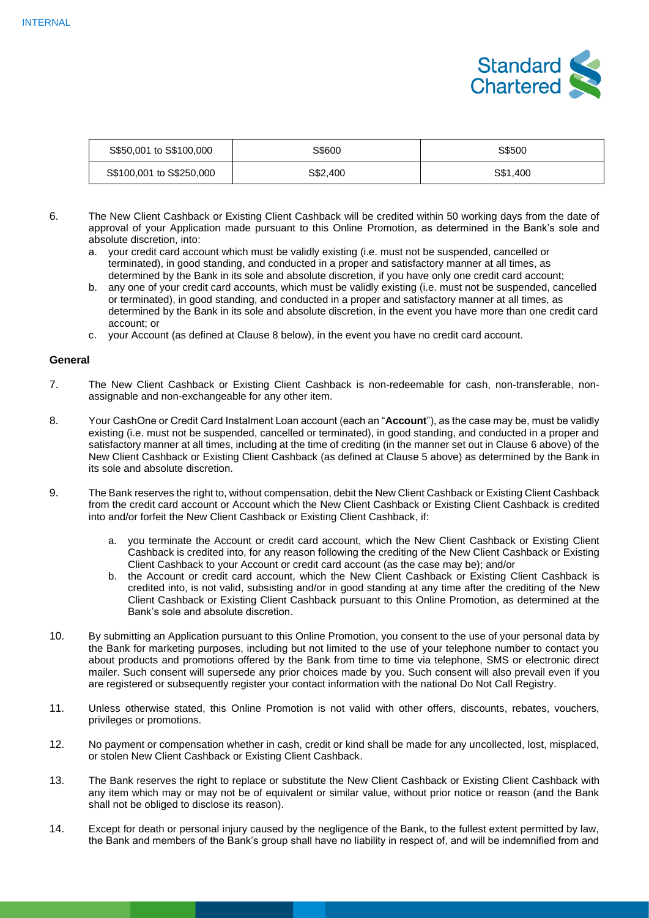

| S\$50,001 to S\$100,000  | S\$600   | S\$500   |
|--------------------------|----------|----------|
| S\$100,001 to S\$250,000 | S\$2,400 | S\$1,400 |

- 6. The New Client Cashback or Existing Client Cashback will be credited within 50 working days from the date of approval of your Application made pursuant to this Online Promotion, as determined in the Bank's sole and absolute discretion, into:
	- a. your credit card account which must be validly existing (i.e. must not be suspended, cancelled or terminated), in good standing, and conducted in a proper and satisfactory manner at all times, as determined by the Bank in its sole and absolute discretion, if you have only one credit card account;
	- b. any one of your credit card accounts, which must be validly existing (i.e. must not be suspended, cancelled or terminated), in good standing, and conducted in a proper and satisfactory manner at all times, as determined by the Bank in its sole and absolute discretion, in the event you have more than one credit card account; or
	- c. your Account (as defined at Clause 8 below), in the event you have no credit card account.

## **General**

- 7. The New Client Cashback or Existing Client Cashback is non-redeemable for cash, non-transferable, nonassignable and non-exchangeable for any other item.
- 8. Your CashOne or Credit Card Instalment Loan account (each an "**Account**"), as the case may be, must be validly existing (i.e. must not be suspended, cancelled or terminated), in good standing, and conducted in a proper and satisfactory manner at all times, including at the time of crediting (in the manner set out in Clause 6 above) of the New Client Cashback or Existing Client Cashback (as defined at Clause 5 above) as determined by the Bank in its sole and absolute discretion.
- 9. The Bank reserves the right to, without compensation, debit the New Client Cashback or Existing Client Cashback from the credit card account or Account which the New Client Cashback or Existing Client Cashback is credited into and/or forfeit the New Client Cashback or Existing Client Cashback, if:
	- a. you terminate the Account or credit card account, which the New Client Cashback or Existing Client Cashback is credited into, for any reason following the crediting of the New Client Cashback or Existing Client Cashback to your Account or credit card account (as the case may be); and/or
	- b. the Account or credit card account, which the New Client Cashback or Existing Client Cashback is credited into, is not valid, subsisting and/or in good standing at any time after the crediting of the New Client Cashback or Existing Client Cashback pursuant to this Online Promotion, as determined at the Bank's sole and absolute discretion.
- 10. By submitting an Application pursuant to this Online Promotion, you consent to the use of your personal data by the Bank for marketing purposes, including but not limited to the use of your telephone number to contact you about products and promotions offered by the Bank from time to time via telephone, SMS or electronic direct mailer. Such consent will supersede any prior choices made by you. Such consent will also prevail even if you are registered or subsequently register your contact information with the national Do Not Call Registry.
- 11. Unless otherwise stated, this Online Promotion is not valid with other offers, discounts, rebates, vouchers, privileges or promotions.
- 12. No payment or compensation whether in cash, credit or kind shall be made for any uncollected, lost, misplaced, or stolen New Client Cashback or Existing Client Cashback.
- 13. The Bank reserves the right to replace or substitute the New Client Cashback or Existing Client Cashback with any item which may or may not be of equivalent or similar value, without prior notice or reason (and the Bank shall not be obliged to disclose its reason).
- 14. Except for death or personal injury caused by the negligence of the Bank, to the fullest extent permitted by law, the Bank and members of the Bank's group shall have no liability in respect of, and will be indemnified from and